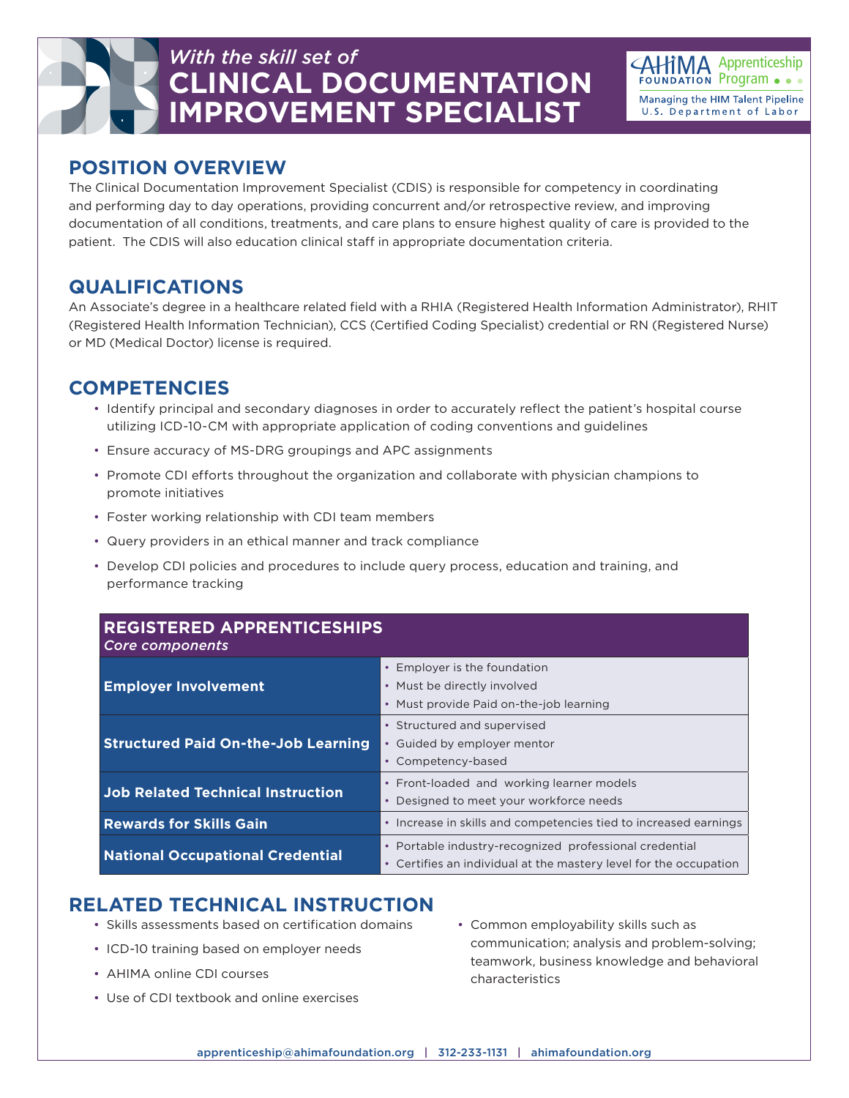## *With the skill set of* **CLINICAL DOCUMENTATION IMPROVEMENT SPECIALIST**



#### **POSITION OVERVIEW**

The Clinical Documentation Improvement Specialist (CDIS) is responsible for competency in coordinating and performing day to day operations, providing concurrent and/or retrospective review, and improving documentation of all conditions, treatments, and care plans to ensure highest quality of care is provided to the patient. The CDIS will also education clinical staff in appropriate documentation criteria.

#### **QUALIFICATIONS**

An Associate's degree in a healthcare related field with a RHIA (Registered Health Information Administrator), RHIT (Registered Health Information Technician), CCS (Certified Coding Specialist) credential or RN (Registered Nurse) or MD (Medical Doctor) license is required.

#### **COMPETENCIES**

- Identify principal and secondary diagnoses in order to accurately reflect the patient's hospital course utilizing ICD-10-CM with appropriate application of coding conventions and guidelines
- Ensure accuracy of MS-DRG groupings and APC assignments
- Promote CDI efforts throughout the organization and collaborate with physician champions to promote initiatives
- Foster working relationship with CDI team members
- Query providers in an ethical manner and track compliance
- Develop CDI policies and procedures to include query process, education and training, and performance tracking

| <b>REGISTERED APPRENTICESHIPS</b><br>Core components |                                                                                                                                        |
|------------------------------------------------------|----------------------------------------------------------------------------------------------------------------------------------------|
| <b>Employer Involvement</b>                          | Employer is the foundation<br>• Must be directly involved<br>• Must provide Paid on-the-job learning                                   |
| <b>Structured Paid On-the-Job Learning</b>           | • Structured and supervised<br>Guided by employer mentor<br>Competency-based                                                           |
| <b>Job Related Technical Instruction</b>             | • Front-loaded and working learner models<br>Designed to meet your workforce needs<br>$\bullet$                                        |
| <b>Rewards for Skills Gain</b>                       | • Increase in skills and competencies tied to increased earnings                                                                       |
| <b>National Occupational Credential</b>              | • Portable industry-recognized professional credential<br>Certifies an individual at the mastery level for the occupation<br>$\bullet$ |

### **RELATED TECHNICAL INSTRUCTION**

- Skills assessments based on certification domains
- ICD-10 training based on employer needs
- AHIMA online CDI courses
- Use of CDI textbook and online exercises
- Common employability skills such as communication; analysis and problem-solving; teamwork, business knowledge and behavioral characteristics